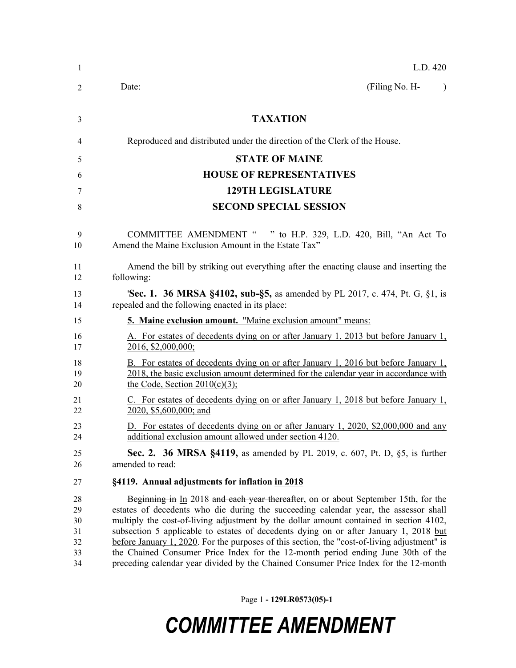| L.D. 420                                                                                                                                                                                                                                                                                                                                                                                                                                                                                                                                                                                                                                  |
|-------------------------------------------------------------------------------------------------------------------------------------------------------------------------------------------------------------------------------------------------------------------------------------------------------------------------------------------------------------------------------------------------------------------------------------------------------------------------------------------------------------------------------------------------------------------------------------------------------------------------------------------|
| (Filing No. H-<br>Date:<br>$\lambda$                                                                                                                                                                                                                                                                                                                                                                                                                                                                                                                                                                                                      |
| <b>TAXATION</b>                                                                                                                                                                                                                                                                                                                                                                                                                                                                                                                                                                                                                           |
| Reproduced and distributed under the direction of the Clerk of the House.                                                                                                                                                                                                                                                                                                                                                                                                                                                                                                                                                                 |
| <b>STATE OF MAINE</b>                                                                                                                                                                                                                                                                                                                                                                                                                                                                                                                                                                                                                     |
| <b>HOUSE OF REPRESENTATIVES</b>                                                                                                                                                                                                                                                                                                                                                                                                                                                                                                                                                                                                           |
| <b>129TH LEGISLATURE</b>                                                                                                                                                                                                                                                                                                                                                                                                                                                                                                                                                                                                                  |
| <b>SECOND SPECIAL SESSION</b>                                                                                                                                                                                                                                                                                                                                                                                                                                                                                                                                                                                                             |
| COMMITTEE AMENDMENT " " to H.P. 329, L.D. 420, Bill, "An Act To<br>Amend the Maine Exclusion Amount in the Estate Tax"                                                                                                                                                                                                                                                                                                                                                                                                                                                                                                                    |
| Amend the bill by striking out everything after the enacting clause and inserting the<br>following:                                                                                                                                                                                                                                                                                                                                                                                                                                                                                                                                       |
| <b>Sec. 1. 36 MRSA §4102, sub-§5, as amended by PL 2017, c. 474, Pt. G, §1, is</b><br>repealed and the following enacted in its place:                                                                                                                                                                                                                                                                                                                                                                                                                                                                                                    |
| 5. Maine exclusion amount. "Maine exclusion amount" means:                                                                                                                                                                                                                                                                                                                                                                                                                                                                                                                                                                                |
| A. For estates of decedents dying on or after January 1, 2013 but before January 1,<br>2016, \$2,000,000;                                                                                                                                                                                                                                                                                                                                                                                                                                                                                                                                 |
| B. For estates of decedents dying on or after January 1, 2016 but before January 1,<br>2018, the basic exclusion amount determined for the calendar year in accordance with<br>the Code, Section $2010(c)(3)$ ;                                                                                                                                                                                                                                                                                                                                                                                                                           |
| C. For estates of decedents dying on or after January 1, 2018 but before January 1,<br>2020, \$5,600,000; and                                                                                                                                                                                                                                                                                                                                                                                                                                                                                                                             |
| D. For estates of decedents dying on or after January 1, 2020, \$2,000,000 and any<br>additional exclusion amount allowed under section 4120.                                                                                                                                                                                                                                                                                                                                                                                                                                                                                             |
| <b>Sec. 2. 36 MRSA §4119, as amended by PL 2019, c. 607, Pt. D, §5, is further</b><br>amended to read:                                                                                                                                                                                                                                                                                                                                                                                                                                                                                                                                    |
| §4119. Annual adjustments for inflation in 2018                                                                                                                                                                                                                                                                                                                                                                                                                                                                                                                                                                                           |
| Beginning in In 2018 and each year thereafter, on or about September 15th, for the<br>estates of decedents who die during the succeeding calendar year, the assessor shall<br>multiply the cost-of-living adjustment by the dollar amount contained in section 4102,<br>subsection 5 applicable to estates of decedents dying on or after January 1, 2018 but<br>before January 1, 2020. For the purposes of this section, the "cost-of-living adjustment" is<br>the Chained Consumer Price Index for the 12-month period ending June 30th of the<br>preceding calendar year divided by the Chained Consumer Price Index for the 12-month |
|                                                                                                                                                                                                                                                                                                                                                                                                                                                                                                                                                                                                                                           |

Page 1 **- 129LR0573(05)-1**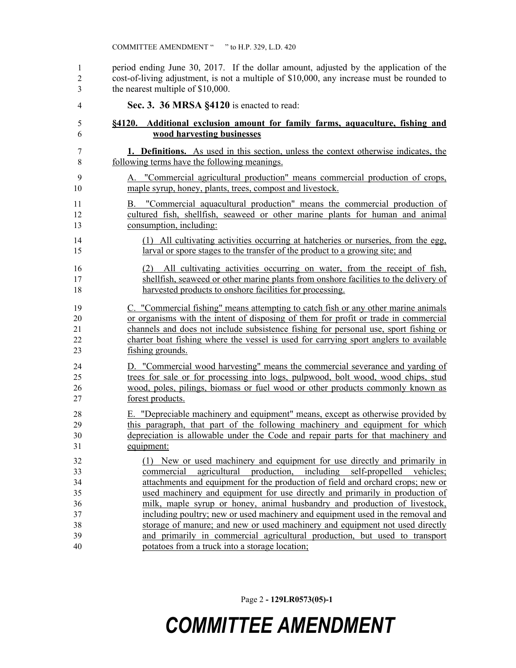period ending June 30, 2017. If the dollar amount, adjusted by the application of the cost-of-living adjustment, is not a multiple of \$10,000, any increase must be rounded to the nearest multiple of \$10,000.

 **Sec. 3. 36 MRSA §4120** is enacted to read: **§4120. Additional exclusion amount for family farms, aquaculture, fishing and wood harvesting businesses 1. Definitions.** As used in this section, unless the context otherwise indicates, the following terms have the following meanings. A. "Commercial agricultural production" means commercial production of crops, maple syrup, honey, plants, trees, compost and livestock. B. "Commercial aquacultural production" means the commercial production of cultured fish, shellfish, seaweed or other marine plants for human and animal consumption, including: (1) All cultivating activities occurring at hatcheries or nurseries, from the egg, larval or spore stages to the transfer of the product to a growing site; and (2) All cultivating activities occurring on water, from the receipt of fish, shellfish, seaweed or other marine plants from onshore facilities to the delivery of 18 harvested products to onshore facilities for processing. C. "Commercial fishing" means attempting to catch fish or any other marine animals or organisms with the intent of disposing of them for profit or trade in commercial channels and does not include subsistence fishing for personal use, sport fishing or charter boat fishing where the vessel is used for carrying sport anglers to available fishing grounds. D. "Commercial wood harvesting" means the commercial severance and yarding of trees for sale or for processing into logs, pulpwood, bolt wood, wood chips, stud wood, poles, pilings, biomass or fuel wood or other products commonly known as forest products. E. "Depreciable machinery and equipment" means, except as otherwise provided by this paragraph, that part of the following machinery and equipment for which depreciation is allowable under the Code and repair parts for that machinery and equipment: (1) New or used machinery and equipment for use directly and primarily in commercial agricultural production, including self-propelled vehicles; attachments and equipment for the production of field and orchard crops; new or used machinery and equipment for use directly and primarily in production of milk, maple syrup or honey, animal husbandry and production of livestock, including poultry; new or used machinery and equipment used in the removal and storage of manure; and new or used machinery and equipment not used directly and primarily in commercial agricultural production, but used to transport potatoes from a truck into a storage location;

Page 2 **- 129LR0573(05)-1**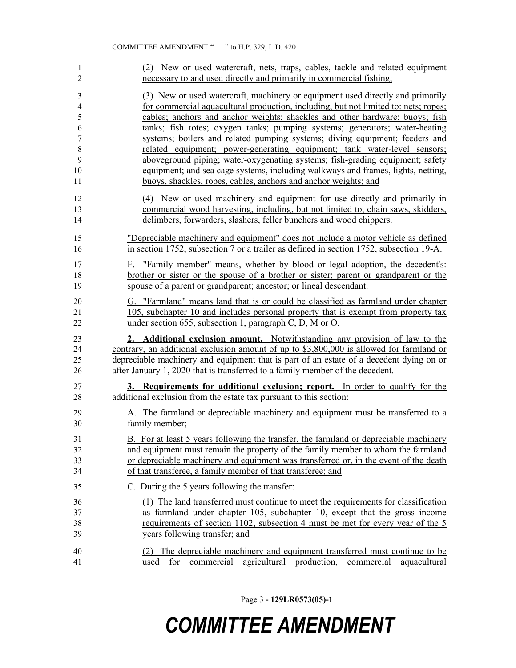| 1                | (2) New or used watercraft, nets, traps, cables, tackle and related equipment                                                                                      |
|------------------|--------------------------------------------------------------------------------------------------------------------------------------------------------------------|
| $\overline{2}$   | necessary to and used directly and primarily in commercial fishing;                                                                                                |
| 3                | (3) New or used watercraft, machinery or equipment used directly and primarily                                                                                     |
| 4                | for commercial aquacultural production, including, but not limited to: nets; ropes;                                                                                |
| 5                | cables; anchors and anchor weights; shackles and other hardware; buoys; fish                                                                                       |
| 6                | tanks; fish totes; oxygen tanks; pumping systems; generators; water-heating                                                                                        |
| $\boldsymbol{7}$ | systems; boilers and related pumping systems; diving equipment; feeders and                                                                                        |
| 8                | related equipment; power-generating equipment; tank water-level sensors;                                                                                           |
| 9                | aboveground piping; water-oxygenating systems; fish-grading equipment; safety                                                                                      |
| 10               | equipment; and sea cage systems, including walkways and frames, lights, netting,                                                                                   |
| 11               | buoys, shackles, ropes, cables, anchors and anchor weights; and                                                                                                    |
| 12               | (4) New or used machinery and equipment for use directly and primarily in                                                                                          |
| 13               | commercial wood harvesting, including, but not limited to, chain saws, skidders,                                                                                   |
| 14               | delimbers, forwarders, slashers, feller bunchers and wood chippers.                                                                                                |
| 15               | "Depreciable machinery and equipment" does not include a motor vehicle as defined                                                                                  |
| 16               | in section 1752, subsection 7 or a trailer as defined in section 1752, subsection 19-A.                                                                            |
| 17               | F. "Family member" means, whether by blood or legal adoption, the decedent's:                                                                                      |
| 18               | brother or sister or the spouse of a brother or sister; parent or grandparent or the                                                                               |
| 19               | spouse of a parent or grandparent; ancestor; or lineal descendant.                                                                                                 |
| 20               | G. "Farmland" means land that is or could be classified as farmland under chapter                                                                                  |
| 21               | 105, subchapter 10 and includes personal property that is exempt from property tax                                                                                 |
| 22               | under section 655, subsection 1, paragraph C, D, M or O.                                                                                                           |
| 23               | 2. Additional exclusion amount. Notwithstanding any provision of law to the                                                                                        |
| 24               | contrary, an additional exclusion amount of up to \$3,800,000 is allowed for farmland or                                                                           |
| 25               | depreciable machinery and equipment that is part of an estate of a decedent dying on or                                                                            |
| 26               | after January 1, 2020 that is transferred to a family member of the decedent.                                                                                      |
| 27               | 3. Requirements for additional exclusion; report. In order to qualify for the                                                                                      |
| 28               | additional exclusion from the estate tax pursuant to this section:                                                                                                 |
| 29               | A. The farmland or depreciable machinery and equipment must be transferred to a                                                                                    |
| 30               | family member;                                                                                                                                                     |
| 31               | B. For at least 5 years following the transfer, the farmland or depreciable machinery                                                                              |
| 32               | and equipment must remain the property of the family member to whom the farmland                                                                                   |
| 33               | or depreciable machinery and equipment was transferred or, in the event of the death                                                                               |
| 34               | of that transferee, a family member of that transferee; and                                                                                                        |
| 35               | C. During the 5 years following the transfer:                                                                                                                      |
| 36               | (1) The land transferred must continue to meet the requirements for classification                                                                                 |
| 37               | as farmland under chapter 105, subchapter 10, except that the gross income                                                                                         |
| 38               | requirements of section 1102, subsection 4 must be met for every year of the 5                                                                                     |
| 39               | years following transfer; and                                                                                                                                      |
| 40<br>41         | (2) The depreciable machinery and equipment transferred must continue to be<br>agricultural<br>production,<br>commercial<br>aquacultural<br>used<br>for commercial |

Page 3 **- 129LR0573(05)-1**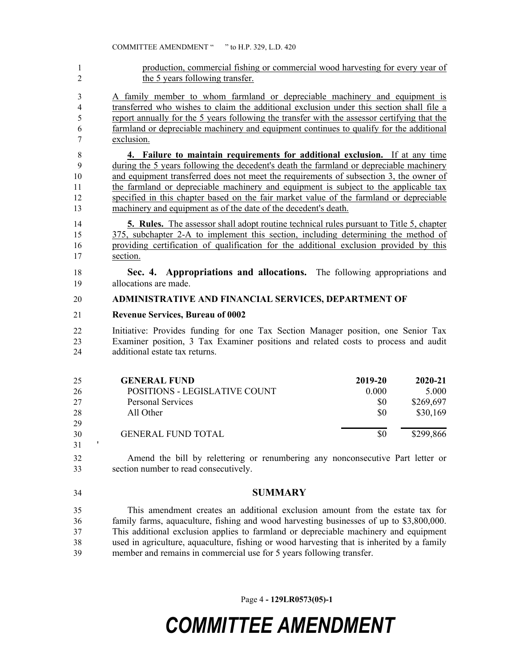production, commercial fishing or commercial wood harvesting for every year of 2 the 5 years following transfer.

 A family member to whom farmland or depreciable machinery and equipment is transferred who wishes to claim the additional exclusion under this section shall file a report annually for the 5 years following the transfer with the assessor certifying that the farmland or depreciable machinery and equipment continues to qualify for the additional exclusion.

 **4. Failure to maintain requirements for additional exclusion.** If at any time during the 5 years following the decedent's death the farmland or depreciable machinery 10 and equipment transferred does not meet the requirements of subsection 3, the owner of the farmland or depreciable machinery and equipment is subject to the applicable tax specified in this chapter based on the fair market value of the farmland or depreciable machinery and equipment as of the date of the decedent's death.

 **5. Rules.** The assessor shall adopt routine technical rules pursuant to Title 5, chapter 375, subchapter 2-A to implement this section, including determining the method of providing certification of qualification for the additional exclusion provided by this section.

 **Sec. 4. Appropriations and allocations.** The following appropriations and allocations are made.

#### **ADMINISTRATIVE AND FINANCIAL SERVICES, DEPARTMENT OF**

**Revenue Services, Bureau of 0002**

 Initiative: Provides funding for one Tax Section Manager position, one Senior Tax Examiner position, 3 Tax Examiner positions and related costs to process and audit additional estate tax returns.

| 25 | <b>GENERAL FUND</b>           | 2019-20 | $2020 - 21$ |
|----|-------------------------------|---------|-------------|
| 26 | POSITIONS - LEGISLATIVE COUNT | 0.000   | 5.000       |
| 27 | <b>Personal Services</b>      | \$0     | \$269,697   |
| 28 | All Other                     | \$0     | \$30,169    |
| 29 |                               |         |             |
| 30 | <b>GENERAL FUND TOTAL</b>     | \$0     | \$299,866   |
| 31 |                               |         |             |

 Amend the bill by relettering or renumbering any nonconsecutive Part letter or section number to read consecutively.

**SUMMARY**

 This amendment creates an additional exclusion amount from the estate tax for family farms, aquaculture, fishing and wood harvesting businesses of up to \$3,800,000. This additional exclusion applies to farmland or depreciable machinery and equipment used in agriculture, aquaculture, fishing or wood harvesting that is inherited by a family member and remains in commercial use for 5 years following transfer.

Page 4 **- 129LR0573(05)-1**